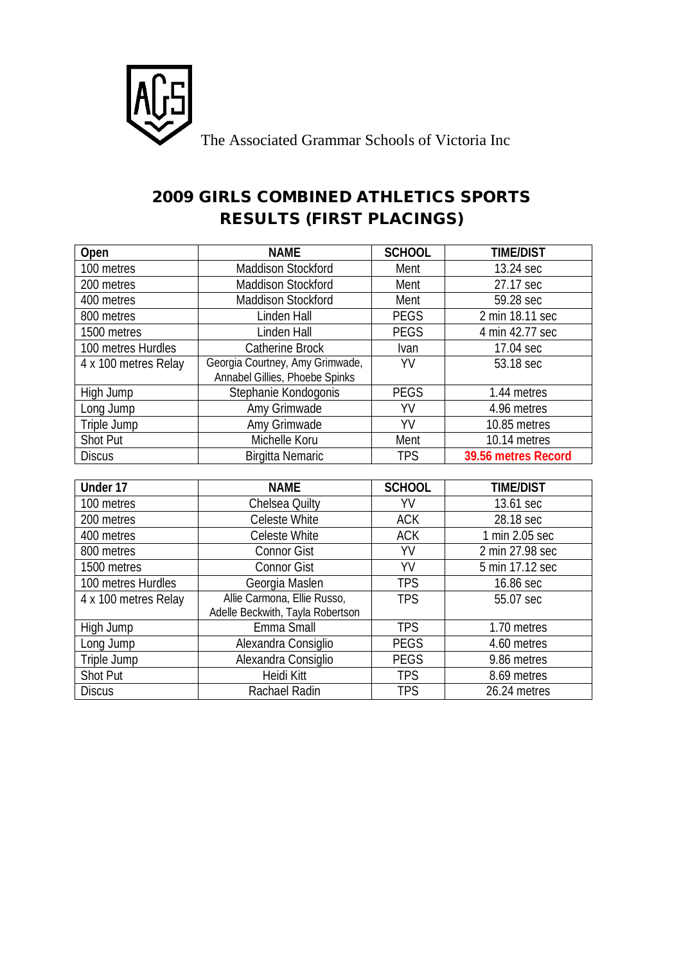

## **2009 GIRLS COMBINED ATHLETICS SPORTS RESULTS (FIRST PLACINGS)**

| Open                 | <b>NAME</b>                                                       | <b>SCHOOL</b> | <b>TIME/DIST</b>    |
|----------------------|-------------------------------------------------------------------|---------------|---------------------|
| 100 metres           | Maddison Stockford                                                | Ment          | 13.24 sec           |
| 200 metres           | <b>Maddison Stockford</b>                                         | Ment          | 27.17 sec           |
| 400 metres           | <b>Maddison Stockford</b>                                         | Ment          | 59.28 sec           |
| 800 metres           | Linden Hall                                                       | <b>PEGS</b>   | 2 min 18.11 sec     |
| 1500 metres          | Linden Hall                                                       | <b>PEGS</b>   | 4 min 42.77 sec     |
| 100 metres Hurdles   | <b>Catherine Brock</b>                                            | Ivan          | 17.04 sec           |
| 4 x 100 metres Relay | Georgia Courtney, Amy Grimwade,<br>Annabel Gillies, Phoebe Spinks | YV            | 53.18 sec           |
| High Jump            | Stephanie Kondogonis                                              | <b>PEGS</b>   | 1.44 metres         |
| Long Jump            | Amy Grimwade                                                      | YV            | 4.96 metres         |
| Triple Jump          | Amy Grimwade                                                      | YV            | 10.85 metres        |
| <b>Shot Put</b>      | Michelle Koru                                                     | Ment          | 10.14 metres        |
| <b>Discus</b>        | <b>Birgitta Nemaric</b>                                           | <b>TPS</b>    | 39.56 metres Record |
|                      |                                                                   |               |                     |
| Under 17             | <b>NAME</b>                                                       | <b>SCHOOL</b> | <b>TIME/DIST</b>    |
| 100 metres           | <b>Chelsea Quilty</b>                                             | YV            | 13.61 sec           |
| 200 metres           | <b>Celeste White</b>                                              | <b>ACK</b>    | 28.18 sec           |
| 400 metres           | Celeste White                                                     | <b>ACK</b>    | 1 min 2.05 sec      |
| 800 metres           | <b>Connor Gist</b>                                                | YV            | 2 min 27.98 sec     |
| 1500 metres          | <b>Connor Gist</b>                                                | YV            | 5 min 17.12 sec     |
| 100 metres Hurdles   | Georgia Maslen                                                    | <b>TPS</b>    | 16.86 sec           |
| 4 x 100 metres Relay | Allie Carmona, Ellie Russo,<br>Adelle Beckwith, Tayla Robertson   | <b>TPS</b>    | 55.07 sec           |
| High Jump            | Emma Small                                                        | <b>TPS</b>    | 1.70 metres         |
| Long Jump            | Alexandra Consiglio                                               | <b>PEGS</b>   | 4.60 metres         |
| Triple Jump          | Alexandra Consiglio                                               | <b>PEGS</b>   | 9.86 metres         |
| <b>Shot Put</b>      | <b>Heidi Kitt</b>                                                 | <b>TPS</b>    | 8.69 metres         |
| <b>Discus</b>        | Rachael Radin                                                     | <b>TPS</b>    | 26.24 metres        |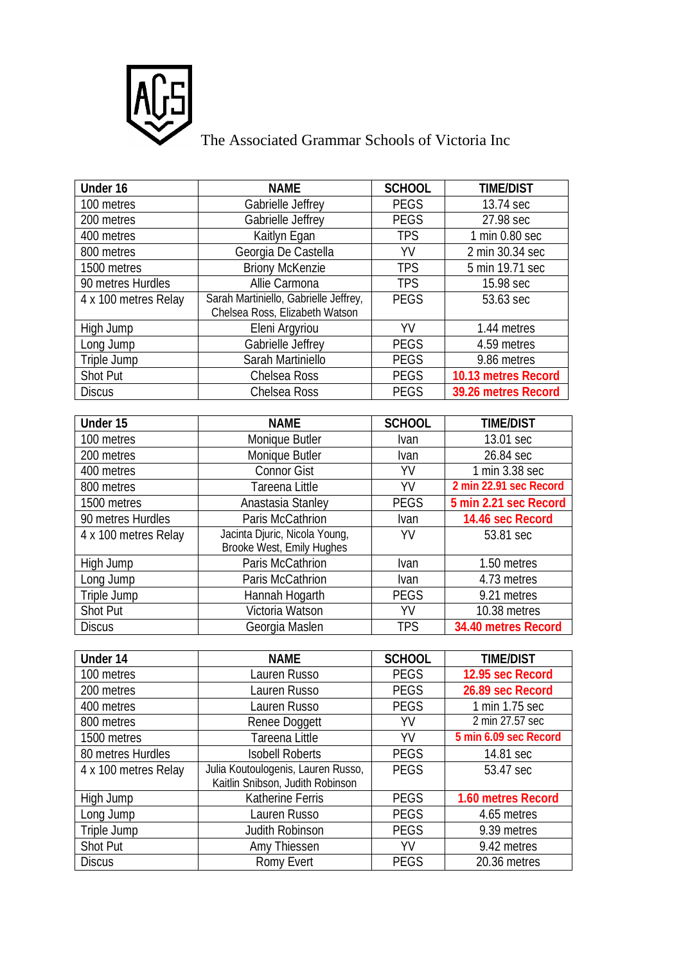

## The Associated Grammar Schools of Victoria Inc

| Under 16             | <b>NAME</b>                           | <b>SCHOOL</b> | <b>TIME/DIST</b>       |
|----------------------|---------------------------------------|---------------|------------------------|
| 100 metres           | Gabrielle Jeffrey                     | <b>PEGS</b>   | 13.74 sec              |
| 200 metres           | Gabrielle Jeffrey                     | <b>PEGS</b>   | 27.98 sec              |
| 400 metres           | Kaitlyn Egan                          | <b>TPS</b>    | 1 min 0.80 sec         |
| 800 metres           | Georgia De Castella                   | YV            | 2 min 30.34 sec        |
| 1500 metres          | <b>Briony McKenzie</b>                | <b>TPS</b>    | 5 min 19.71 sec        |
| 90 metres Hurdles    | Allie Carmona                         | <b>TPS</b>    | 15.98 sec              |
| 4 x 100 metres Relay | Sarah Martiniello, Gabrielle Jeffrey, | <b>PEGS</b>   | 53.63 sec              |
|                      | Chelsea Ross, Elizabeth Watson        |               |                        |
| High Jump            | Eleni Argyriou                        | YV            | 1.44 metres            |
| Long Jump            | Gabrielle Jeffrey                     | <b>PEGS</b>   | 4.59 metres            |
| Triple Jump          | Sarah Martiniello                     | <b>PEGS</b>   | 9.86 metres            |
| <b>Shot Put</b>      | Chelsea Ross                          | <b>PEGS</b>   | 10.13 metres Record    |
| <b>Discus</b>        | Chelsea Ross                          | <b>PEGS</b>   | 39.26 metres Record    |
|                      |                                       |               |                        |
| Under 15             | <b>NAME</b>                           | <b>SCHOOL</b> | <b>TIME/DIST</b>       |
| 100 metres           | Monique Butler                        | Ivan          | 13.01 sec              |
| 200 metres           | Monique Butler                        | Ivan          | 26.84 sec              |
| 400 metres           | <b>Connor Gist</b>                    | YV            | 1 min 3.38 sec         |
| 800 metres           | Tareena Little                        | YV            | 2 min 22.91 sec Record |
| 1500 metres          | Anastasia Stanley                     | <b>PEGS</b>   | 5 min 2.21 sec Record  |
| 90 metres Hurdles    | Paris McCathrion                      | Ivan          | 14.46 sec Record       |
| 4 x 100 metres Relay | Jacinta Djuric, Nicola Young,         | YV            | 53.81 sec              |
|                      | Brooke West, Emily Hughes             |               |                        |
| High Jump            | Paris McCathrion                      | Ivan          | 1.50 metres            |
| Long Jump            | Paris McCathrion                      | Ivan          | 4.73 metres            |
| Triple Jump          | Hannah Hogarth                        | <b>PEGS</b>   | 9.21 metres            |
| <b>Shot Put</b>      | Victoria Watson                       | YV            | 10.38 metres           |
| <b>Discus</b>        | Georgia Maslen                        | <b>TPS</b>    | 34.40 metres Record    |
|                      |                                       |               |                        |
| Under 14             | <b>NAME</b>                           | <b>SCHOOL</b> | <b>TIME/DIST</b>       |
| 100 metres           | Lauren Russo                          | <b>PEGS</b>   | 12.95 sec Record       |
| 200 metres           | Lauren Russo                          | <b>PEGS</b>   | 26.89 sec Record       |
| 400 metres           | Lauren Russo                          | <b>PEGS</b>   | 1 min 1.75 sec         |
| 800 metres           | Renee Doggett                         | YV            | 2 min 27.57 sec        |
| 1500 metres          | Tareena Little                        | YV            | 5 min 6.09 sec Record  |
| 80 metres Hurdles    | <b>Isobell Roberts</b>                | <b>PEGS</b>   | 14.81 sec              |
| 4 x 100 metres Relay | Julia Koutoulogenis, Lauren Russo,    | <b>PEGS</b>   | 53.47 sec              |
|                      | Kaitlin Snibson, Judith Robinson      |               |                        |
| High Jump            | Katherine Ferris                      | PEGS          | 1.60 metres Record     |
| Long Jump            | Lauren Russo                          | <b>PEGS</b>   | 4.65 metres            |
| Triple Jump          | Judith Robinson                       | <b>PEGS</b>   | 9.39 metres            |
| Shot Put             | Amy Thiessen                          | YV            | 9.42 metres            |
| <b>Discus</b>        | Romy Evert                            | PEGS          | 20.36 metres           |